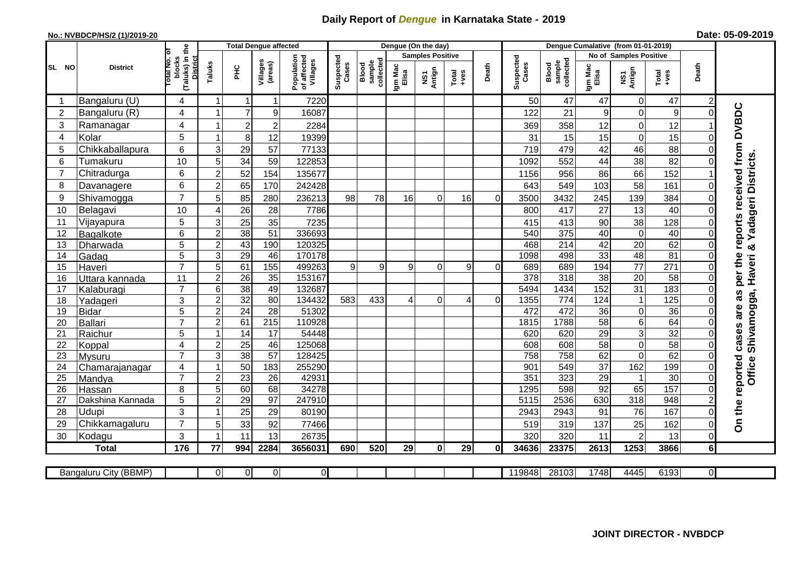## **Daily Report of** *Dengue* **in Karnataka State - 2019**

## **No.: NVBDCP/HS/2 (1)/2019-20**

|  | Date: 05-09-2019 |  |
|--|------------------|--|
|--|------------------|--|

|                |                       |                                                   |                |                  | <b>Total Dengue affected</b> |                                       |                    |                              |                  | Dengue (On the day)     |                |          |                    |                              |                        |                         |                  |                |                                     |
|----------------|-----------------------|---------------------------------------------------|----------------|------------------|------------------------------|---------------------------------------|--------------------|------------------------------|------------------|-------------------------|----------------|----------|--------------------|------------------------------|------------------------|-------------------------|------------------|----------------|-------------------------------------|
|                |                       | ō                                                 |                |                  |                              |                                       |                    |                              |                  | <b>Samples Positive</b> |                |          |                    |                              | No of Samples Positive |                         |                  |                |                                     |
| SL NO          | <b>District</b>       | (Taluks) in the<br>District<br>otal No.<br>blocks | Taluks         | Ξ                | Villages<br>(areas)          | Population<br>of affected<br>Villages | Suspected<br>Cases | sample<br>collected<br>Blood | Igm Mac<br>Elisa | Antign<br>Σή            | Total<br>+ves  | Death    | Suspected<br>Cases | collected<br>sample<br>Blood | Igm Mac<br>Elisa       | NS1<br>Antign           | Total<br>+ves    | Death          |                                     |
|                | Bangaluru (U)         | 4                                                 | 1              | $\mathbf 1$      | 1                            | 7220                                  |                    |                              |                  |                         |                |          | 50                 | 47                           | 47                     | 0                       | 47               |                |                                     |
| $\overline{2}$ | Bangaluru (R)         | 4                                                 | 1              | $\overline{7}$   | 9                            | 16087                                 |                    |                              |                  |                         |                |          | 122                | 21                           | 9                      | $\mathbf 0$             | 9                | $\Omega$       |                                     |
| 3              | Ramanagar             | 4                                                 | -1             | $\boldsymbol{2}$ | 2                            | 2284                                  |                    |                              |                  |                         |                |          | 369                | 358                          | 12                     | $\mathbf 0$             | 12               |                | per the reports received from DVBDC |
| $\overline{4}$ | Kolar                 | 5                                                 | 1              | $\bf 8$          | 12                           | 19399                                 |                    |                              |                  |                         |                |          | 31                 | 15                           | 15                     | $\mathbf 0$             | 15               | O              |                                     |
| 5              | Chikkaballapura       | 6                                                 | 3              | 29               | 57                           | 77133                                 |                    |                              |                  |                         |                |          | 719                | 479                          | 42                     | 46                      | 88               |                |                                     |
| 6              | Tumakuru              | 10                                                | 5              | 34               | 59                           | 122853                                |                    |                              |                  |                         |                |          | 1092               | 552                          | 44                     | 38                      | 82               |                |                                     |
| 7              | Chitradurga           | 6                                                 | $\overline{2}$ | 52               | 154                          | 135677                                |                    |                              |                  |                         |                |          | 1156               | 956                          | 86                     | 66                      | 152              |                |                                     |
| 8              | Davanagere            | 6                                                 | $\overline{2}$ | 65               | 170                          | 242428                                |                    |                              |                  |                         |                |          | 643                | 549                          | 103                    | 58                      | 161              | $\mathbf 0$    |                                     |
| 9              | Shivamogga            | $\overline{7}$                                    | 5              | 85               | 280                          | 236213                                | 98                 | 78                           | 16               | $\Omega$                | 16             | 0        | 3500               | 3432                         | 245                    | 139                     | 384              | 0              | & Yadageri Districts                |
| 10             | Belagavi              | 10                                                | 4              | $\overline{26}$  | 28                           | 7786                                  |                    |                              |                  |                         |                |          | 800                | 417                          | 27                     | 13                      | 40               | $\Omega$       |                                     |
| 11             | Vijayapura            | 5                                                 | 3              | 25               | 35                           | 7235                                  |                    |                              |                  |                         |                |          | 415                | 413                          | 90                     | 38                      | 128              |                |                                     |
| 12             | Bagalkote             | 6                                                 | $\overline{c}$ | 38               | 51                           | 336693                                |                    |                              |                  |                         |                |          | 540                | $\overline{375}$             | 40                     | $\mathbf 0$             | 40               | $\Omega$       |                                     |
| 13             | Dharwada              | 5                                                 | $\overline{2}$ | 43               | 190                          | 120325                                |                    |                              |                  |                         |                |          | 468                | $\overline{214}$             | 42                     | $\overline{20}$         | 62               | $\Omega$       |                                     |
| 14             | Gadag                 | $\overline{5}$                                    | $\overline{3}$ | 29               | 46                           | 170178                                |                    |                              |                  |                         |                |          | 1098               | 498                          | 33                     | 48                      | 81               | $\Omega$       |                                     |
| 15             | Haveri                | $\overline{7}$                                    | 5              | 61               | 155                          | 499263                                | 9                  | 9                            | 9                | $\Omega$                | $\overline{9}$ | $\Omega$ | 689                | 689                          | 194                    | $\overline{77}$         | 271              | $\Omega$       |                                     |
| 16             | Uttara kannada        | 11                                                | $\overline{c}$ | $\overline{26}$  | 35                           | 153167                                |                    |                              |                  |                         |                |          | $\overline{378}$   | 318                          | $\overline{38}$        | 20                      | 58               | $\Omega$       |                                     |
| 17             | Kalaburagi            | $\overline{7}$                                    | 6              | 38               | 49                           | 132687                                |                    |                              |                  |                         |                |          | 5494               | 1434                         | 152                    | $\overline{31}$         | 183              | $\Omega$       |                                     |
| 18             | Yadageri              | 3                                                 | $\overline{c}$ | 32               | 80                           | 134432                                | 583                | 433                          | ⊿                | 0                       | 4              | $\Omega$ | 1355               | 774                          | 124                    | $\overline{1}$          | 125              |                | as                                  |
| 19             | <b>Bidar</b>          | 5                                                 | $\overline{c}$ | $\overline{24}$  | 28                           | 51302                                 |                    |                              |                  |                         |                |          | 472                | 472                          | 36                     | 0                       | 36               | O              | are                                 |
| 20             | Ballari               | $\overline{7}$                                    | $\overline{c}$ | 61               | 215                          | 110928                                |                    |                              |                  |                         |                |          | 1815               | 1788                         | $\overline{58}$        | $6\phantom{1}6$         | 64               | ∩              |                                     |
| 21             | Raichur               | 5                                                 | 1              | 14               | $\overline{17}$              | 54448                                 |                    |                              |                  |                         |                |          | 620                | 620                          | 29                     | $\overline{3}$          | 32               | $\Omega$       | Shivamogga, Haveri<br>cases         |
| 22             | Koppal                | $\overline{4}$                                    | $\overline{c}$ | $\overline{25}$  | 46                           | 125068                                |                    |                              |                  |                         |                |          | 608                | 608                          | 58                     | $\mathbf 0$             | 58               | $\Omega$       |                                     |
| 23             | Mysuru                | $\overline{7}$                                    | $\overline{3}$ | 38               | $\overline{57}$              | 128425                                |                    |                              |                  |                         |                |          | 758                | 758                          | 62                     | $\mathbf 0$             | 62               | $\Omega$       |                                     |
| 24             | Chamarajanagar        | 4                                                 | $\mathbf{1}$   | 50               | 183                          | 255290                                |                    |                              |                  |                         |                |          | 901                | 549                          | $\overline{37}$        | 162                     | 199              | $\mathbf 0$    | Office                              |
| 25             | Mandya                | $\overline{7}$                                    | $\overline{2}$ | $\overline{23}$  | 26                           | 42931                                 |                    |                              |                  |                         |                |          | 351                | 323                          | $\overline{29}$        | $\overline{\mathbf{1}}$ | 30               | 0              |                                     |
| 26             | Hassan                | 8                                                 | 5              | $\overline{60}$  | 68                           | 34278                                 |                    |                              |                  |                         |                |          | 1295               | 598                          | 92                     | 65                      | 157              |                |                                     |
| 27             | Dakshina Kannada      | 5                                                 | $\overline{c}$ | $\overline{29}$  | $\overline{97}$              | 247910                                |                    |                              |                  |                         |                |          | 5115               | 2536                         | 630                    | $\overline{318}$        | $\overline{948}$ |                |                                     |
| 28             | Udupi                 | 3                                                 | 1              | 25               | 29                           | 80190                                 |                    |                              |                  |                         |                |          | 2943               | 2943                         | 91                     | 76                      | 167              |                | On the reported                     |
| 29             | Chikkamagaluru        | $\overline{7}$                                    | 5              | 33               | 92                           | 77466                                 |                    |                              |                  |                         |                |          | 519                | 319                          | 137                    | 25                      | 162              |                |                                     |
| 30             | Kodagu                | 3                                                 | $\mathbf 1$    | 11               | 13                           | 26735                                 |                    |                              |                  |                         |                |          | 320                | 320                          | 11                     | $\overline{2}$          | 13               | 0              |                                     |
|                | <b>Total</b>          | 176                                               | 77             | 994              | 2284                         | 3656031                               | 690                | 520                          | 29               | $\mathbf 0$             | 29             | $\bf{0}$ | 34636              | 23375                        | 2613                   | 1253                    | 3866             | 6 <sup>1</sup> |                                     |
|                |                       |                                                   |                |                  |                              |                                       |                    |                              |                  |                         |                |          |                    |                              |                        |                         |                  |                |                                     |
|                | Bangaluru City (BBMP) |                                                   | $\Omega$       | $\overline{0}$   | $\overline{0}$               | $\overline{O}$                        |                    |                              |                  |                         |                |          | 119848             | 28103                        | 1748                   | 4445                    | 6193             | $\overline{0}$ |                                     |